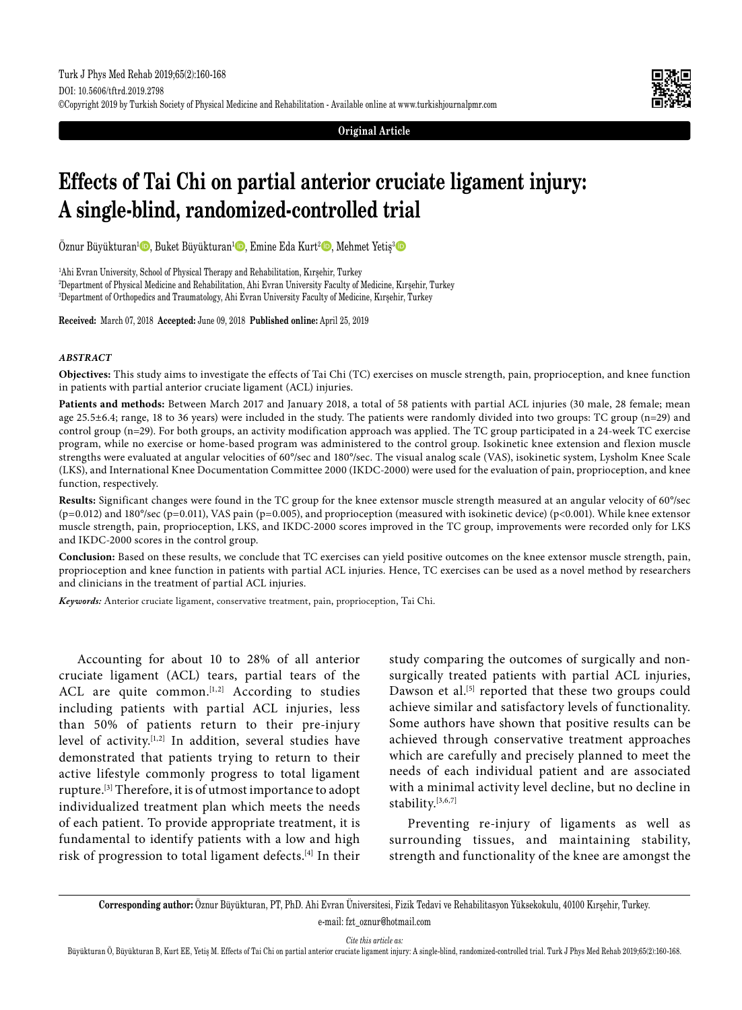**Original Article**

# **Effects of Tai Chi on partial anterior cruciate ligament injury: A single-blind, randomized-controlled trial**

Öznur Büyükturan<sup>ı</sup> D, Buket Büyükturan<sup>ı</sup> D, Emine Eda Kurt<sup>2</sup> D, Mehmet Yetiş<sup>3</sup> D

1 Ahi Evran University, School of Physical Therapy and Rehabilitation, Kırşehir, Turkey 2 Department of Physical Medicine and Rehabilitation, Ahi Evran University Faculty of Medicine, Kırşehir, Turkey 3 Department of Orthopedics and Traumatology, Ahi Evran University Faculty of Medicine, Kırşehir, Turkey

**Received:** March 07, 2018 **Accepted:** June 09, 2018 **Published online:** April 25, 2019

## *ABSTRACT*

**Objectives:** This study aims to investigate the effects of Tai Chi (TC) exercises on muscle strength, pain, proprioception, and knee function in patients with partial anterior cruciate ligament (ACL) injuries.

**Patients and methods:** Between March 2017 and January 2018, a total of 58 patients with partial ACL injuries (30 male, 28 female; mean age 25.5±6.4; range, 18 to 36 years) were included in the study. The patients were randomly divided into two groups: TC group (n=29) and control group (n=29). For both groups, an activity modification approach was applied. The TC group participated in a 24-week TC exercise program, while no exercise or home-based program was administered to the control group. Isokinetic knee extension and flexion muscle strengths were evaluated at angular velocities of 60°/sec and 180°/sec. The visual analog scale (VAS), isokinetic system, Lysholm Knee Scale (LKS), and International Knee Documentation Committee 2000 (IKDC-2000) were used for the evaluation of pain, proprioception, and knee function, respectively.

**Results:** Significant changes were found in the TC group for the knee extensor muscle strength measured at an angular velocity of 60°/sec (p=0.012) and 180°/sec (p=0.011), VAS pain (p=0.005), and proprioception (measured with isokinetic device) (p<0.001). While knee extensor muscle strength, pain, proprioception, LKS, and IKDC-2000 scores improved in the TC group, improvements were recorded only for LKS and IKDC-2000 scores in the control group.

**Conclusion:** Based on these results, we conclude that TC exercises can yield positive outcomes on the knee extensor muscle strength, pain, proprioception and knee function in patients with partial ACL injuries. Hence, TC exercises can be used as a novel method by researchers and clinicians in the treatment of partial ACL injuries.

*Keywords:* Anterior cruciate ligament, conservative treatment, pain, proprioception, Tai Chi.

Accounting for about 10 to 28% of all anterior cruciate ligament (ACL) tears, partial tears of the ACL are quite common.<sup>[1,2]</sup> According to studies including patients with partial ACL injuries, less than 50% of patients return to their pre-injury level of activity.[1,2] In addition, several studies have demonstrated that patients trying to return to their active lifestyle commonly progress to total ligament rupture.[3] Therefore, it is of utmost importance to adopt individualized treatment plan which meets the needs of each patient. To provide appropriate treatment, it is fundamental to identify patients with a low and high risk of progression to total ligament defects.[4] In their study comparing the outcomes of surgically and nonsurgically treated patients with partial ACL injuries, Dawson et al.<sup>[5]</sup> reported that these two groups could achieve similar and satisfactory levels of functionality. Some authors have shown that positive results can be achieved through conservative treatment approaches which are carefully and precisely planned to meet the needs of each individual patient and are associated with a minimal activity level decline, but no decline in stability.[3,6,7]

Preventing re-injury of ligaments as well as surrounding tissues, and maintaining stability, strength and functionality of the knee are amongst the

**Corresponding author:** Öznur Büyükturan, PT, PhD. Ahi Evran Üniversitesi, Fizik Tedavi ve Rehabilitasyon Yüksekokulu, 40100 Kırşehir, Turkey.

e-mail: fzt\_oznur@hotmail.com

*Cite this article as:*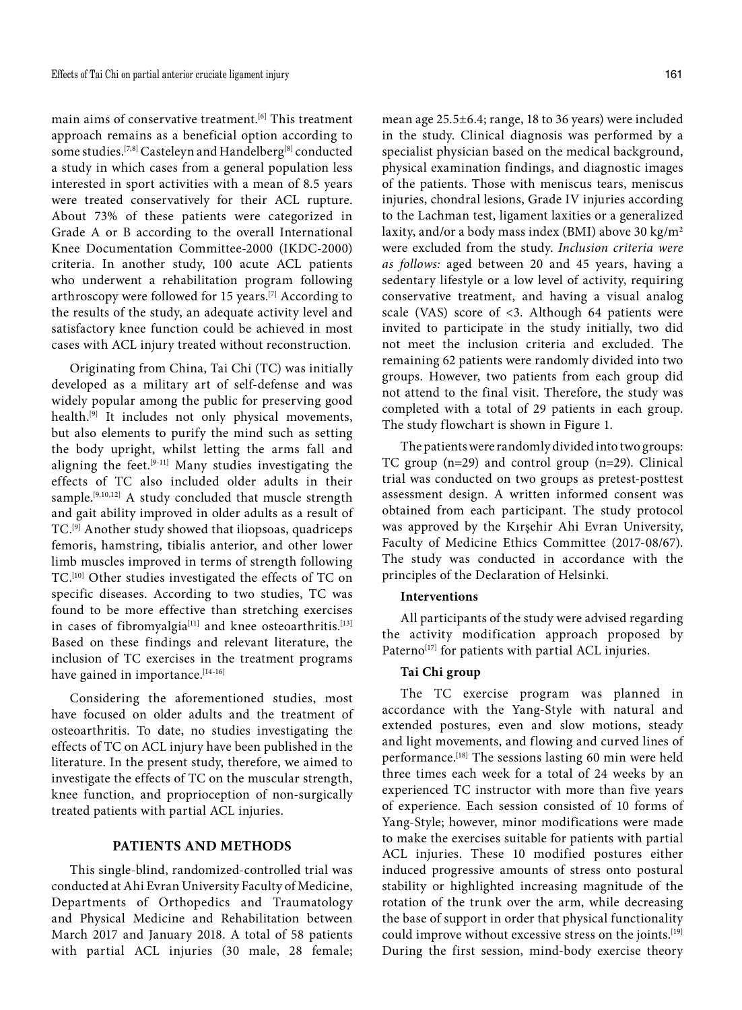main aims of conservative treatment.<sup>[6]</sup> This treatment approach remains as a beneficial option according to some studies.<sup>[7,8]</sup> Casteleyn and Handelberg<sup>[8]</sup> conducted a study in which cases from a general population less interested in sport activities with a mean of 8.5 years were treated conservatively for their ACL rupture. About 73% of these patients were categorized in Grade A or B according to the overall International Knee Documentation Committee-2000 (IKDC-2000) criteria. In another study, 100 acute ACL patients who underwent a rehabilitation program following arthroscopy were followed for 15 years.<sup>[7]</sup> According to the results of the study, an adequate activity level and satisfactory knee function could be achieved in most cases with ACL injury treated without reconstruction.

Originating from China, Tai Chi (TC) was initially developed as a military art of self-defense and was widely popular among the public for preserving good health.[9] It includes not only physical movements, but also elements to purify the mind such as setting the body upright, whilst letting the arms fall and aligning the feet.[9-11] Many studies investigating the effects of TC also included older adults in their sample.<sup>[9,10,12]</sup> A study concluded that muscle strength and gait ability improved in older adults as a result of TC.[9] Another study showed that iliopsoas, quadriceps femoris, hamstring, tibialis anterior, and other lower limb muscles improved in terms of strength following TC.[10] Other studies investigated the effects of TC on specific diseases. According to two studies, TC was found to be more effective than stretching exercises in cases of fibromyalgia<sup>[11]</sup> and knee osteoarthritis.<sup>[13]</sup> Based on these findings and relevant literature, the inclusion of TC exercises in the treatment programs have gained in importance.<sup>[14-16]</sup>

Considering the aforementioned studies, most have focused on older adults and the treatment of osteoarthritis. To date, no studies investigating the effects of TC on ACL injury have been published in the literature. In the present study, therefore, we aimed to investigate the effects of TC on the muscular strength, knee function, and proprioception of non-surgically treated patients with partial ACL injuries.

## **PATIENTS AND METHODS**

This single-blind, randomized-controlled trial was conducted at Ahi Evran University Faculty of Medicine, Departments of Orthopedics and Traumatology and Physical Medicine and Rehabilitation between March 2017 and January 2018. A total of 58 patients with partial ACL injuries (30 male, 28 female; mean age 25.5±6.4; range, 18 to 36 years) were included in the study. Clinical diagnosis was performed by a specialist physician based on the medical background, physical examination findings, and diagnostic images of the patients. Those with meniscus tears, meniscus injuries, chondral lesions, Grade IV injuries according to the Lachman test, ligament laxities or a generalized laxity, and/or a body mass index (BMI) above 30 kg/m<sup>2</sup> were excluded from the study. *Inclusion criteria were as follows:* aged between 20 and 45 years, having a sedentary lifestyle or a low level of activity, requiring conservative treatment, and having a visual analog scale (VAS) score of <3. Although 64 patients were invited to participate in the study initially, two did not meet the inclusion criteria and excluded. The remaining 62 patients were randomly divided into two groups. However, two patients from each group did not attend to the final visit. Therefore, the study was completed with a total of 29 patients in each group. The study flowchart is shown in Figure 1.

The patients were randomly divided into two groups: TC group (n=29) and control group (n=29). Clinical trial was conducted on two groups as pretest-posttest assessment design. A written informed consent was obtained from each participant. The study protocol was approved by the Kırşehir Ahi Evran University, Faculty of Medicine Ethics Committee (2017-08/67). The study was conducted in accordance with the principles of the Declaration of Helsinki.

#### **Interventions**

All participants of the study were advised regarding the activity modification approach proposed by Paterno<sup>[17]</sup> for patients with partial ACL injuries.

## **Tai Chi group**

The TC exercise program was planned in accordance with the Yang-Style with natural and extended postures, even and slow motions, steady and light movements, and flowing and curved lines of performance.[18] The sessions lasting 60 min were held three times each week for a total of 24 weeks by an experienced TC instructor with more than five years of experience. Each session consisted of 10 forms of Yang-Style; however, minor modifications were made to make the exercises suitable for patients with partial ACL injuries. These 10 modified postures either induced progressive amounts of stress onto postural stability or highlighted increasing magnitude of the rotation of the trunk over the arm, while decreasing the base of support in order that physical functionality could improve without excessive stress on the joints.<sup>[19]</sup> During the first session, mind-body exercise theory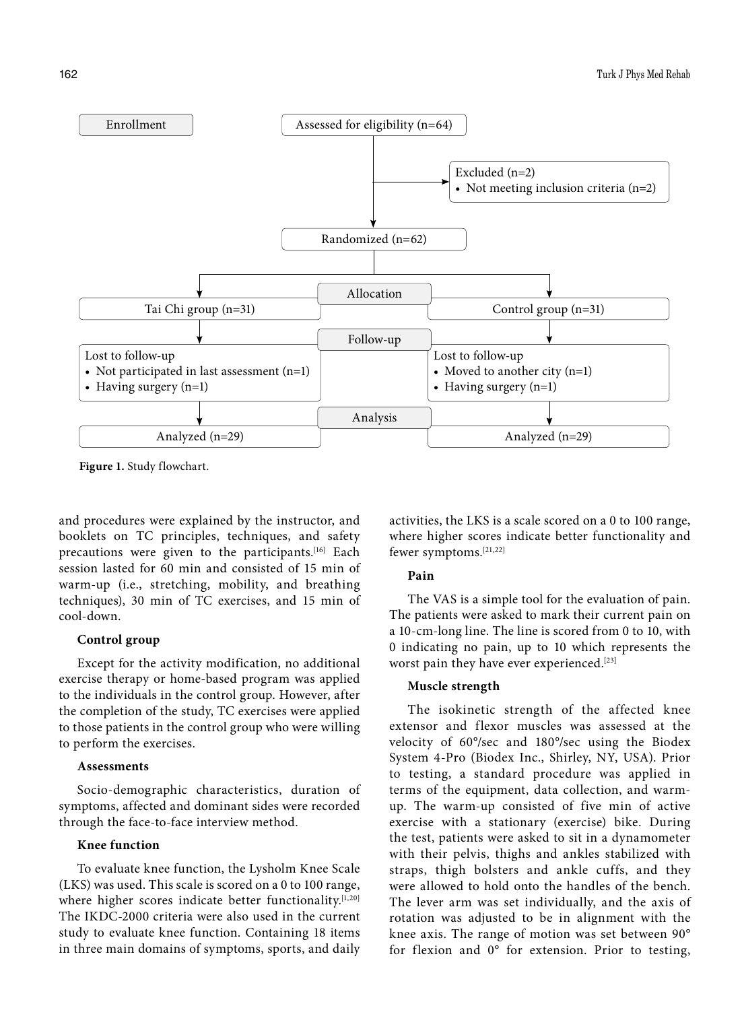

**Figure 1.** Study flowchart.

and procedures were explained by the instructor, and booklets on TC principles, techniques, and safety precautions were given to the participants.<sup>[16]</sup> Each session lasted for 60 min and consisted of 15 min of warm-up (i.e., stretching, mobility, and breathing techniques), 30 min of TC exercises, and 15 min of cool-down.

## **Control group**

Except for the activity modification, no additional exercise therapy or home-based program was applied to the individuals in the control group. However, after the completion of the study, TC exercises were applied to those patients in the control group who were willing to perform the exercises.

#### **Assessments**

Socio-demographic characteristics, duration of symptoms, affected and dominant sides were recorded through the face-to-face interview method.

## **Knee function**

To evaluate knee function, the Lysholm Knee Scale (LKS) was used. This scale is scored on a 0 to 100 range, where higher scores indicate better functionality.<sup>[1,20]</sup> The IKDC-2000 criteria were also used in the current study to evaluate knee function. Containing 18 items in three main domains of symptoms, sports, and daily activities, the LKS is a scale scored on a 0 to 100 range, where higher scores indicate better functionality and fewer symptoms.[21,22]

## **Pain**

The VAS is a simple tool for the evaluation of pain. The patients were asked to mark their current pain on a 10-cm-long line. The line is scored from 0 to 10, with 0 indicating no pain, up to 10 which represents the worst pain they have ever experienced.<sup>[23]</sup>

#### **Muscle strength**

The isokinetic strength of the affected knee extensor and flexor muscles was assessed at the velocity of 60°/sec and 180°/sec using the Biodex System 4-Pro (Biodex Inc., Shirley, NY, USA). Prior to testing, a standard procedure was applied in terms of the equipment, data collection, and warmup. The warm-up consisted of five min of active exercise with a stationary (exercise) bike. During the test, patients were asked to sit in a dynamometer with their pelvis, thighs and ankles stabilized with straps, thigh bolsters and ankle cuffs, and they were allowed to hold onto the handles of the bench. The lever arm was set individually, and the axis of rotation was adjusted to be in alignment with the knee axis. The range of motion was set between 90° for flexion and 0° for extension. Prior to testing,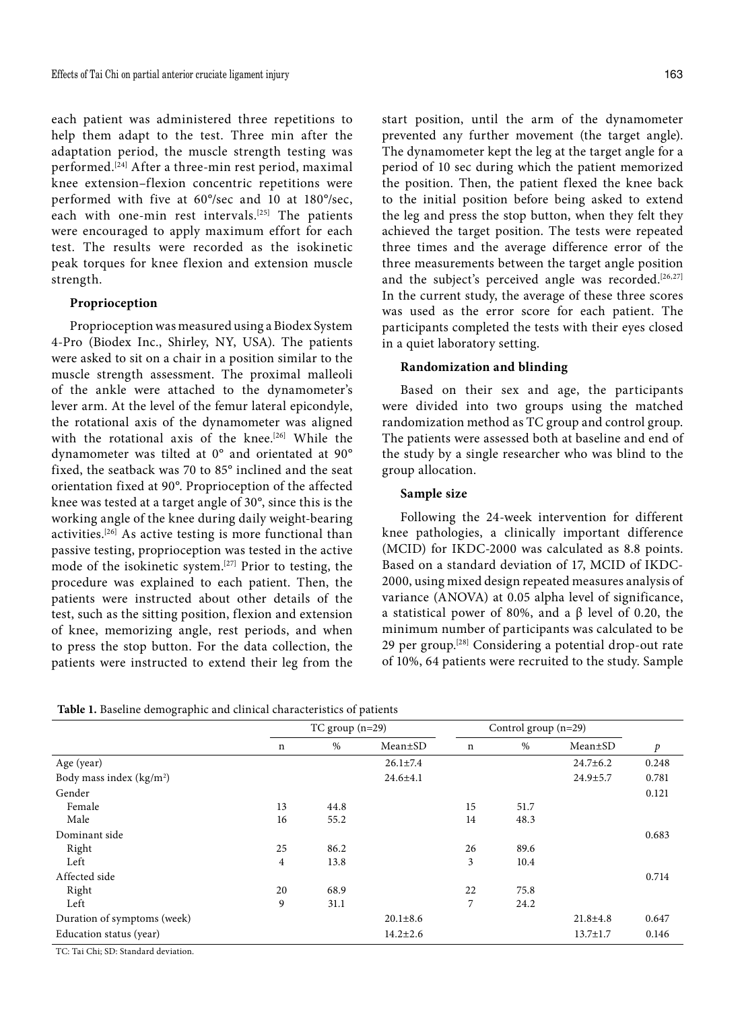each patient was administered three repetitions to help them adapt to the test. Three min after the adaptation period, the muscle strength testing was performed.[24] After a three-min rest period, maximal knee extension–flexion concentric repetitions were performed with five at 60°/sec and 10 at 180°/sec, each with one-min rest intervals.<sup>[25]</sup> The patients were encouraged to apply maximum effort for each test. The results were recorded as the isokinetic peak torques for knee flexion and extension muscle strength.

## **Proprioception**

Proprioception was measured using a Biodex System 4-Pro (Biodex Inc., Shirley, NY, USA). The patients were asked to sit on a chair in a position similar to the muscle strength assessment. The proximal malleoli of the ankle were attached to the dynamometer's lever arm. At the level of the femur lateral epicondyle, the rotational axis of the dynamometer was aligned with the rotational axis of the knee.<sup>[26]</sup> While the dynamometer was tilted at 0° and orientated at 90° fixed, the seatback was 70 to 85° inclined and the seat orientation fixed at 90°. Proprioception of the affected knee was tested at a target angle of 30°, since this is the working angle of the knee during daily weight-bearing activities.[26] As active testing is more functional than passive testing, proprioception was tested in the active mode of the isokinetic system.[27] Prior to testing, the procedure was explained to each patient. Then, the patients were instructed about other details of the test, such as the sitting position, flexion and extension of knee, memorizing angle, rest periods, and when to press the stop button. For the data collection, the patients were instructed to extend their leg from the

start position, until the arm of the dynamometer prevented any further movement (the target angle). The dynamometer kept the leg at the target angle for a period of 10 sec during which the patient memorized the position. Then, the patient flexed the knee back to the initial position before being asked to extend the leg and press the stop button, when they felt they achieved the target position. The tests were repeated three times and the average difference error of the three measurements between the target angle position and the subject's perceived angle was recorded.<sup>[26,27]</sup> In the current study, the average of these three scores was used as the error score for each patient. The participants completed the tests with their eyes closed in a quiet laboratory setting.

## **Randomization and blinding**

Based on their sex and age, the participants were divided into two groups using the matched randomization method as TC group and control group. The patients were assessed both at baseline and end of the study by a single researcher who was blind to the group allocation.

## **Sample size**

Following the 24-week intervention for different knee pathologies, a clinically important difference (MCID) for IKDC-2000 was calculated as 8.8 points. Based on a standard deviation of 17, MCID of IKDC-2000, using mixed design repeated measures analysis of variance (ANOVA) at 0.05 alpha level of significance, a statistical power of 80%, and a β level of 0.20, the minimum number of participants was calculated to be 29 per group.[28] Considering a potential drop-out rate of 10%, 64 patients were recruited to the study. Sample

|                                       | TC group $(n=29)$ |      | Control group $(n=29)$ |             |      |                |       |
|---------------------------------------|-------------------|------|------------------------|-------------|------|----------------|-------|
|                                       | $\mathbf n$       | $\%$ | $Mean \pm SD$          | $\mathbf n$ | $\%$ | $Mean \pm SD$  | p     |
| Age (year)                            |                   |      | $26.1 \pm 7.4$         |             |      | $24.7 \pm 6.2$ | 0.248 |
| Body mass index $(kg/m2)$             |                   |      | $24.6 \pm 4.1$         |             |      | $24.9 \pm 5.7$ | 0.781 |
| Gender                                |                   |      |                        |             |      |                | 0.121 |
| Female                                | 13                | 44.8 |                        | 15          | 51.7 |                |       |
| Male                                  | 16                | 55.2 |                        | 14          | 48.3 |                |       |
| Dominant side                         |                   |      |                        |             |      |                | 0.683 |
| Right                                 | 25                | 86.2 |                        | 26          | 89.6 |                |       |
| Left                                  | $\overline{4}$    | 13.8 |                        | 3           | 10.4 |                |       |
| Affected side                         |                   |      |                        |             |      |                | 0.714 |
| Right                                 | 20                | 68.9 |                        | 22          | 75.8 |                |       |
| Left                                  | 9                 | 31.1 |                        | 7           | 24.2 |                |       |
| Duration of symptoms (week)           |                   |      | $20.1 \pm 8.6$         |             |      | $21.8 \pm 4.8$ | 0.647 |
| Education status (year)               |                   |      | $14.2 \pm 2.6$         |             |      | $13.7 \pm 1.7$ | 0.146 |
| $H(0, H(1, 0), 0, 0)$ $1, 1, 1, 1, 1$ |                   |      |                        |             |      |                |       |

TC: Tai Chi; SD: Standard deviation.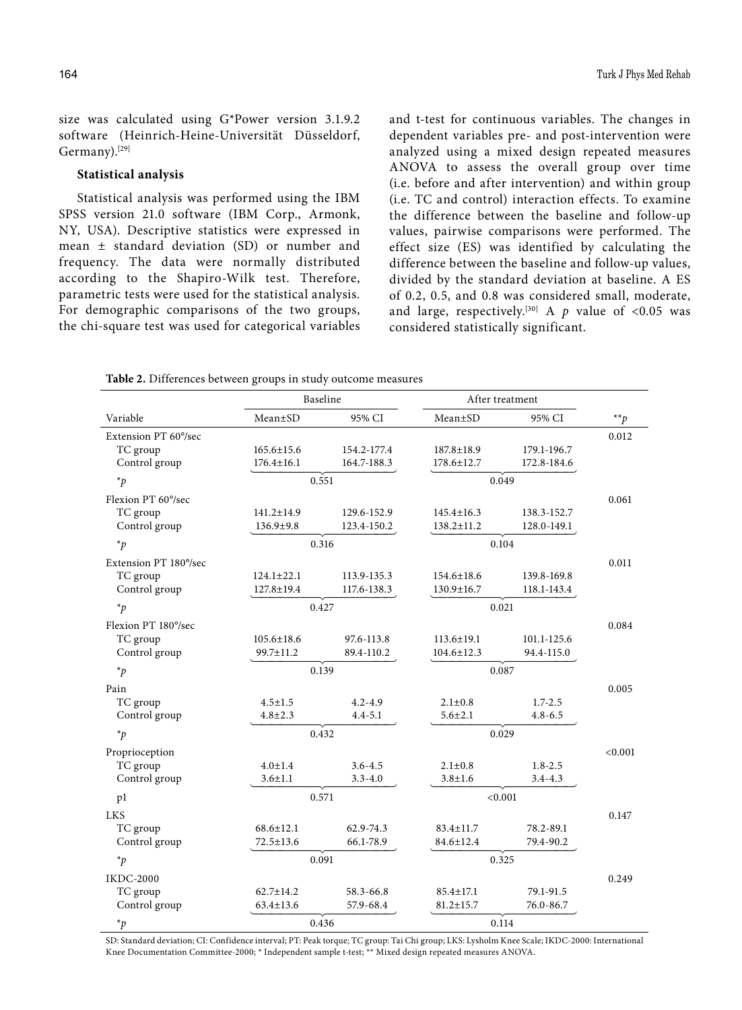size was calculated using G\*Power version 3.1.9.2 software (Heinrich-Heine-Universität Düsseldorf, Germany).[29]

#### **Statistical analysis**

Statistical analysis was performed using the IBM SPSS version 21.0 software (IBM Corp., Armonk, NY, USA). Descriptive statistics were expressed in mean ± standard deviation (SD) or number and frequency. The data were normally distributed according to the Shapiro-Wilk test. Therefore, parametric tests were used for the statistical analysis. For demographic comparisons of the two groups, the chi-square test was used for categorical variables and t-test for continuous variables. The changes in dependent variables pre- and post-intervention were analyzed using a mixed design repeated measures ANOVA to assess the overall group over time (i.e. before and after intervention) and within group (i.e. TC and control) interaction effects. To examine the difference between the baseline and follow-up values, pairwise comparisons were performed. The effect size (ES) was identified by calculating the difference between the baseline and follow-up values, divided by the standard deviation at baseline. A ES of 0.2, 0.5, and 0.8 was considered small, moderate, and large, respectively.<sup>[30]</sup> A  $p$  value of <0.05 was considered statistically significant.

**Table 2.** Differences between groups in study outcome measures

| Variable                                                                                                                                    | $Mean \pm SD$    | 95% CI      | Mean±SD          | 95% CI      | $*$ <sup>*</sup> $p$ |  |
|---------------------------------------------------------------------------------------------------------------------------------------------|------------------|-------------|------------------|-------------|----------------------|--|
| Extension PT 60°/sec                                                                                                                        |                  |             |                  |             | 0.012                |  |
| TC group                                                                                                                                    | $165.6 \pm 15.6$ | 154.2-177.4 | $187.8 \pm 18.9$ | 179.1-196.7 |                      |  |
| Control group                                                                                                                               | $176.4 \pm 16.1$ | 164.7-188.3 | $178.6 \pm 12.7$ | 172.8-184.6 |                      |  |
| $*_{p}$                                                                                                                                     | 0.551            |             | 0.049            |             |                      |  |
| Flexion PT 60°/sec                                                                                                                          |                  |             |                  |             | 0.061                |  |
| TC group                                                                                                                                    | $141.2 \pm 14.9$ | 129.6-152.9 | $145.4 \pm 16.3$ | 138.3-152.7 |                      |  |
| Control group                                                                                                                               | 136.9±9.8        | 123.4-150.2 | $138.2 \pm 11.2$ | 128.0-149.1 |                      |  |
| $*_{p}$                                                                                                                                     |                  | 0.316       |                  | 0.104       |                      |  |
| Extension PT 180°/sec                                                                                                                       |                  |             |                  |             | 0.011                |  |
| TC group                                                                                                                                    | $124.1 \pm 22.1$ | 113.9-135.3 | $154.6 \pm 18.6$ | 139.8-169.8 |                      |  |
| Control group                                                                                                                               | 127.8±19.4       | 117.6-138.3 | 130.9±16.7       | 118.1-143.4 |                      |  |
| $*_{p}$                                                                                                                                     |                  | 0.427       |                  | 0.021       |                      |  |
| Flexion PT 180°/sec                                                                                                                         |                  |             |                  |             | 0.084                |  |
| TC group                                                                                                                                    | $105.6 \pm 18.6$ | 97.6-113.8  | $113.6 \pm 19.1$ | 101.1-125.6 |                      |  |
| Control group                                                                                                                               | 99.7±11.2        | 89.4-110.2  | $104.6 \pm 12.3$ | 94.4-115.0  |                      |  |
| $*_{p}$                                                                                                                                     |                  | 0.139       |                  | 0.087       |                      |  |
| Pain                                                                                                                                        |                  |             |                  |             | 0.005                |  |
| TC group                                                                                                                                    | $4.5 \pm 1.5$    | $4.2 - 4.9$ | $2.1 \pm 0.8$    | $1.7 - 2.5$ |                      |  |
| Control group                                                                                                                               | $4.8 \pm 2.3$    | $4.4 - 5.1$ | $5.6 \pm 2.1$    | $4.8 - 6.5$ |                      |  |
| $\ast_p$                                                                                                                                    | 0.432            |             | 0.029            |             |                      |  |
| Proprioception                                                                                                                              |                  |             |                  |             | < 0.001              |  |
| TC group                                                                                                                                    | $4.0 \pm 1.4$    | $3.6 - 4.5$ | $2.1 \pm 0.8$    | $1.8 - 2.5$ |                      |  |
| Control group                                                                                                                               | $3.6 \pm 1.1$    | $3.3 - 4.0$ | $3.8 \pm 1.6$    | $3.4 - 4.3$ |                      |  |
| pl                                                                                                                                          |                  | 0.571       |                  | < 0.001     |                      |  |
| <b>LKS</b>                                                                                                                                  |                  |             |                  |             | 0.147                |  |
| TC group                                                                                                                                    | $68.6 \pm 12.1$  | 62.9-74.3   | $83.4 \pm 11.7$  | 78.2-89.1   |                      |  |
| Control group                                                                                                                               | $72.5 \pm 13.6$  | 66.1-78.9   | $84.6 \pm 12.4$  | 79.4-90.2   |                      |  |
| $\ast_{p}$                                                                                                                                  | 0.091            |             | 0.325            |             |                      |  |
| <b>IKDC-2000</b>                                                                                                                            |                  |             |                  |             | 0.249                |  |
| TC group                                                                                                                                    | $62.7 \pm 14.2$  | 58.3-66.8   | $85.4 \pm 17.1$  | 79.1-91.5   |                      |  |
| Control group                                                                                                                               | $63.4 \pm 13.6$  | 57.9-68.4   | $81.2 \pm 15.7$  | 76.0-86.7   |                      |  |
| $\ast_p$                                                                                                                                    | 0.436            |             | 0.114            |             |                      |  |
| SD: Standard deviation: CI: Confidence interval: PT: Peak torque: TC group: Tai Chi group: LKS: Lysholm Knee Scale: IKDC-2000: Internationa |                  |             |                  |             |                      |  |

Baseline After treatment

SD: Standard deviation; CI: Confidence interval; PT: Peak torque; TC group: Tai Chi group; LKS: Lysholm Knee Scale; IKDC-2000: International Knee Documentation Committee-2000; \* Independent sample t-test; \*\* Mixed design repeated measures ANOVA.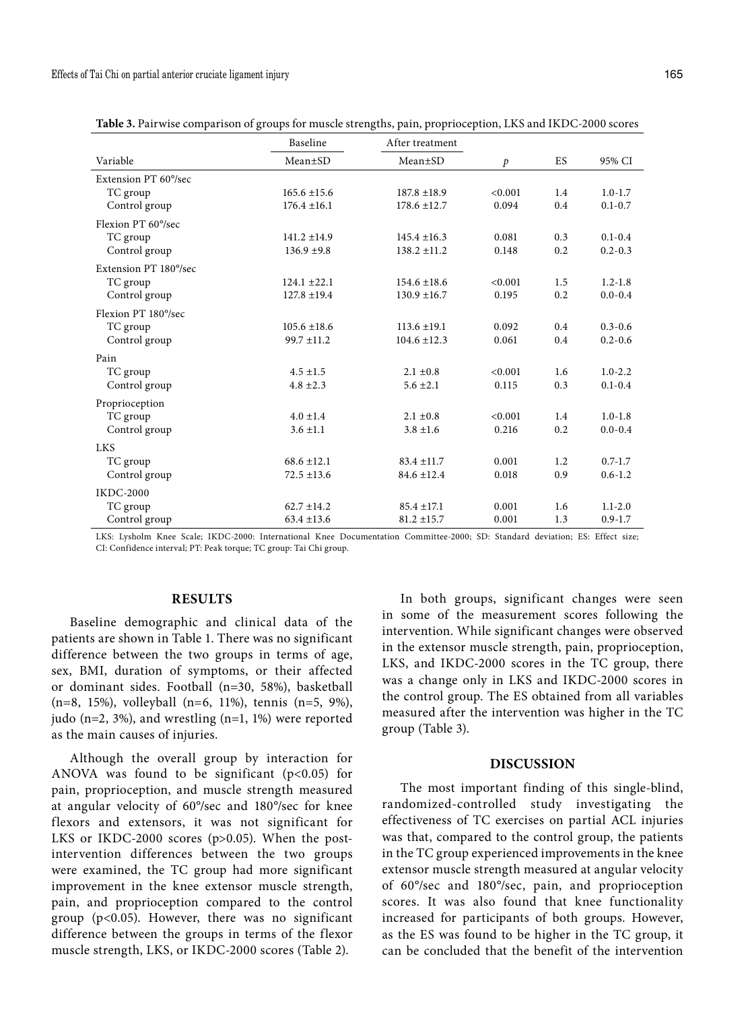|                       | Baseline         | After treatment  |         |     |             |
|-----------------------|------------------|------------------|---------|-----|-------------|
| Variable              | Mean±SD          | $Mean \pm SD$    | p       | ES  | 95% CI      |
| Extension PT 60°/sec  |                  |                  |         |     |             |
| TC group              | $165.6 \pm 15.6$ | $187.8 \pm 18.9$ | < 0.001 | 1.4 | $1.0 - 1.7$ |
| Control group         | $176.4 \pm 16.1$ | $178.6 \pm 12.7$ | 0.094   | 0.4 | $0.1 - 0.7$ |
| Flexion PT 60% sec    |                  |                  |         |     |             |
| TC group              | $141.2 \pm 14.9$ | $145.4 \pm 16.3$ | 0.081   | 0.3 | $0.1 - 0.4$ |
| Control group         | $136.9 \pm 9.8$  | $138.2 \pm 11.2$ | 0.148   | 0.2 | $0.2 - 0.3$ |
| Extension PT 180°/sec |                  |                  |         |     |             |
| TC group              | $124.1 \pm 22.1$ | $154.6 \pm 18.6$ | < 0.001 | 1.5 | $1.2 - 1.8$ |
| Control group         | $127.8 \pm 19.4$ | $130.9 \pm 16.7$ | 0.195   | 0.2 | $0.0 - 0.4$ |
| Flexion PT 180% sec   |                  |                  |         |     |             |
| TC group              | $105.6 \pm 18.6$ | $113.6 \pm 19.1$ | 0.092   | 0.4 | $0.3 - 0.6$ |
| Control group         | $99.7 \pm 11.2$  | $104.6 \pm 12.3$ | 0.061   | 0.4 | $0.2 - 0.6$ |
| Pain                  |                  |                  |         |     |             |
| TC group              | $4.5 \pm 1.5$    | $2.1 \pm 0.8$    | < 0.001 | 1.6 | $1.0 - 2.2$ |
| Control group         | $4.8 \pm 2.3$    | $5.6 \pm 2.1$    | 0.115   | 0.3 | $0.1 - 0.4$ |
| Proprioception        |                  |                  |         |     |             |
| TC group              | $4.0 \pm 1.4$    | $2.1 \pm 0.8$    | < 0.001 | 1.4 | $1.0 - 1.8$ |
| Control group         | $3.6 \pm 1.1$    | $3.8 \pm 1.6$    | 0.216   | 0.2 | $0.0 - 0.4$ |
| <b>LKS</b>            |                  |                  |         |     |             |
| TC group              | $68.6 \pm 12.1$  | $83.4 \pm 11.7$  | 0.001   | 1.2 | $0.7 - 1.7$ |
| Control group         | $72.5 \pm 13.6$  | $84.6 \pm 12.4$  | 0.018   | 0.9 | $0.6 - 1.2$ |
| <b>IKDC-2000</b>      |                  |                  |         |     |             |
| TC group              | $62.7 \pm 14.2$  | $85.4 \pm 17.1$  | 0.001   | 1.6 | $1.1 - 2.0$ |
| Control group         | $63.4 \pm 13.6$  | $81.2 \pm 15.7$  | 0.001   | 1.3 | $0.9 - 1.7$ |

**Table 3.** Pairwise comparison of groups for muscle strengths, pain, proprioception, LKS and IKDC-2000 scores

LKS: Lysholm Knee Scale; IKDC-2000: International Knee Documentation Committee-2000; SD: Standard deviation; ES: Effect size; CI: Confidence interval; PT: Peak torque; TC group: Tai Chi group.

## **RESULTS**

Baseline demographic and clinical data of the patients are shown in Table 1. There was no significant difference between the two groups in terms of age, sex, BMI, duration of symptoms, or their affected or dominant sides. Football (n=30, 58%), basketball (n=8, 15%), volleyball (n=6, 11%), tennis (n=5, 9%), judo (n=2, 3%), and wrestling (n=1, 1%) were reported as the main causes of injuries.

Although the overall group by interaction for ANOVA was found to be significant  $(p<0.05)$  for pain, proprioception, and muscle strength measured at angular velocity of 60°/sec and 180°/sec for knee flexors and extensors, it was not significant for LKS or IKDC-2000 scores (p>0.05). When the postintervention differences between the two groups were examined, the TC group had more significant improvement in the knee extensor muscle strength, pain, and proprioception compared to the control group (p<0.05). However, there was no significant difference between the groups in terms of the flexor muscle strength, LKS, or IKDC-2000 scores (Table 2).

In both groups, significant changes were seen in some of the measurement scores following the intervention. While significant changes were observed in the extensor muscle strength, pain, proprioception, LKS, and IKDC-2000 scores in the TC group, there was a change only in LKS and IKDC-2000 scores in the control group. The ES obtained from all variables measured after the intervention was higher in the TC group (Table 3).

## **DISCUSSION**

The most important finding of this single-blind, randomized-controlled study investigating the effectiveness of TC exercises on partial ACL injuries was that, compared to the control group, the patients in the TC group experienced improvements in the knee extensor muscle strength measured at angular velocity of 60°/sec and 180°/sec, pain, and proprioception scores. It was also found that knee functionality increased for participants of both groups. However, as the ES was found to be higher in the TC group, it can be concluded that the benefit of the intervention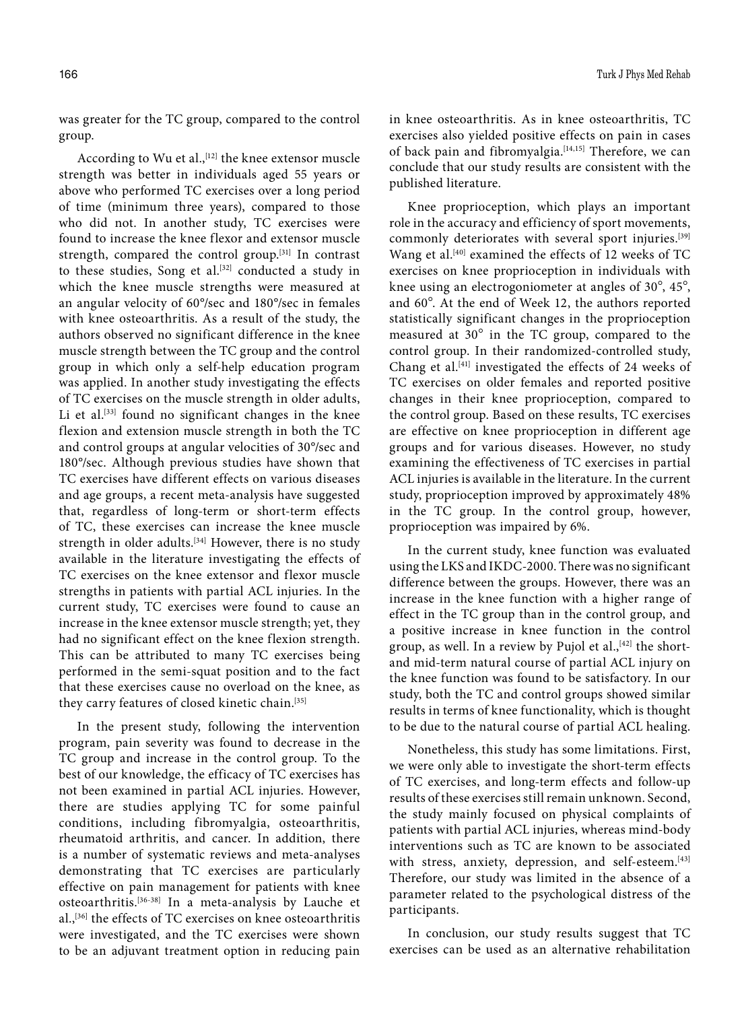was greater for the TC group, compared to the control group.

According to Wu et al., [12] the knee extensor muscle strength was better in individuals aged 55 years or above who performed TC exercises over a long period of time (minimum three years), compared to those who did not. In another study, TC exercises were found to increase the knee flexor and extensor muscle strength, compared the control group.[31] In contrast to these studies, Song et al.<sup>[32]</sup> conducted a study in which the knee muscle strengths were measured at an angular velocity of 60°/sec and 180°/sec in females with knee osteoarthritis. As a result of the study, the authors observed no significant difference in the knee muscle strength between the TC group and the control group in which only a self-help education program was applied. In another study investigating the effects of TC exercises on the muscle strength in older adults, Li et al.<sup>[33]</sup> found no significant changes in the knee flexion and extension muscle strength in both the TC and control groups at angular velocities of 30°/sec and 180°/sec. Although previous studies have shown that TC exercises have different effects on various diseases and age groups, a recent meta-analysis have suggested that, regardless of long-term or short-term effects of TC, these exercises can increase the knee muscle strength in older adults.<sup>[34]</sup> However, there is no study available in the literature investigating the effects of TC exercises on the knee extensor and flexor muscle strengths in patients with partial ACL injuries. In the current study, TC exercises were found to cause an increase in the knee extensor muscle strength; yet, they had no significant effect on the knee flexion strength. This can be attributed to many TC exercises being performed in the semi-squat position and to the fact that these exercises cause no overload on the knee, as they carry features of closed kinetic chain.[35]

In the present study, following the intervention program, pain severity was found to decrease in the TC group and increase in the control group. To the best of our knowledge, the efficacy of TC exercises has not been examined in partial ACL injuries. However, there are studies applying TC for some painful conditions, including fibromyalgia, osteoarthritis, rheumatoid arthritis, and cancer. In addition, there is a number of systematic reviews and meta-analyses demonstrating that TC exercises are particularly effective on pain management for patients with knee osteoarthritis.[36-38] In a meta-analysis by Lauche et al.,[36] the effects of TC exercises on knee osteoarthritis were investigated, and the TC exercises were shown to be an adjuvant treatment option in reducing pain in knee osteoarthritis. As in knee osteoarthritis, TC exercises also yielded positive effects on pain in cases of back pain and fibromyalgia.<sup>[14,15]</sup> Therefore, we can conclude that our study results are consistent with the published literature.

Knee proprioception, which plays an important role in the accuracy and efficiency of sport movements, commonly deteriorates with several sport injuries.[39] Wang et al.<sup>[40]</sup> examined the effects of 12 weeks of TC exercises on knee proprioception in individuals with knee using an electrogoniometer at angles of 30°, 45°, and 60°. At the end of Week 12, the authors reported statistically significant changes in the proprioception measured at 30° in the TC group, compared to the control group. In their randomized-controlled study, Chang et al.<sup>[41]</sup> investigated the effects of 24 weeks of TC exercises on older females and reported positive changes in their knee proprioception, compared to the control group. Based on these results, TC exercises are effective on knee proprioception in different age groups and for various diseases. However, no study examining the effectiveness of TC exercises in partial ACL injuries is available in the literature. In the current study, proprioception improved by approximately 48% in the TC group. In the control group, however, proprioception was impaired by 6%.

In the current study, knee function was evaluated using the LKS and IKDC-2000. There was no significant difference between the groups. However, there was an increase in the knee function with a higher range of effect in the TC group than in the control group, and a positive increase in knee function in the control group, as well. In a review by Pujol et al.,<sup>[42]</sup> the shortand mid-term natural course of partial ACL injury on the knee function was found to be satisfactory. In our study, both the TC and control groups showed similar results in terms of knee functionality, which is thought to be due to the natural course of partial ACL healing.

Nonetheless, this study has some limitations. First, we were only able to investigate the short-term effects of TC exercises, and long-term effects and follow-up results of these exercises still remain unknown. Second, the study mainly focused on physical complaints of patients with partial ACL injuries, whereas mind-body interventions such as TC are known to be associated with stress, anxiety, depression, and self-esteem.<sup>[43]</sup> Therefore, our study was limited in the absence of a parameter related to the psychological distress of the participants.

In conclusion, our study results suggest that TC exercises can be used as an alternative rehabilitation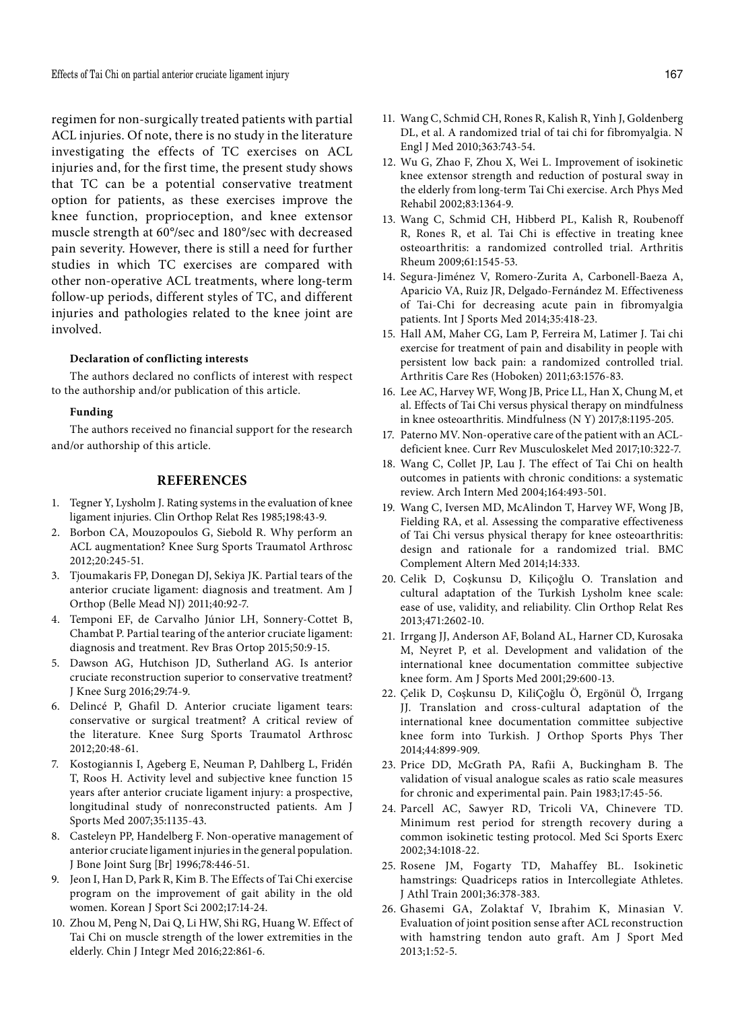regimen for non-surgically treated patients with partial ACL injuries. Of note, there is no study in the literature investigating the effects of TC exercises on ACL injuries and, for the first time, the present study shows that TC can be a potential conservative treatment option for patients, as these exercises improve the knee function, proprioception, and knee extensor muscle strength at 60°/sec and 180°/sec with decreased pain severity. However, there is still a need for further studies in which TC exercises are compared with other non-operative ACL treatments, where long-term follow-up periods, different styles of TC, and different injuries and pathologies related to the knee joint are involved.

## **Declaration of conflicting interests**

The authors declared no conflicts of interest with respect to the authorship and/or publication of this article.

#### **Funding**

The authors received no financial support for the research and/or authorship of this article.

## **REFERENCES**

- 1. Tegner Y, Lysholm J. Rating systems in the evaluation of knee ligament injuries. Clin Orthop Relat Res 1985;198:43-9.
- 2. Borbon CA, Mouzopoulos G, Siebold R. Why perform an ACL augmentation? Knee Surg Sports Traumatol Arthrosc 2012;20:245-51.
- 3. Tjoumakaris FP, Donegan DJ, Sekiya JK. Partial tears of the anterior cruciate ligament: diagnosis and treatment. Am J Orthop (Belle Mead NJ) 2011;40:92-7.
- 4. Temponi EF, de Carvalho Júnior LH, Sonnery-Cottet B, Chambat P. Partial tearing of the anterior cruciate ligament: diagnosis and treatment. Rev Bras Ortop 2015;50:9-15.
- 5. Dawson AG, Hutchison JD, Sutherland AG. Is anterior cruciate reconstruction superior to conservative treatment? J Knee Surg 2016;29:74-9.
- 6. Delincé P, Ghafil D. Anterior cruciate ligament tears: conservative or surgical treatment? A critical review of the literature. Knee Surg Sports Traumatol Arthrosc 2012;20:48-61.
- 7. Kostogiannis I, Ageberg E, Neuman P, Dahlberg L, Fridén T, Roos H. Activity level and subjective knee function 15 years after anterior cruciate ligament injury: a prospective, longitudinal study of nonreconstructed patients. Am J Sports Med 2007;35:1135-43.
- 8. Casteleyn PP, Handelberg F. Non-operative management of anterior cruciate ligament injuries in the general population. J Bone Joint Surg [Br] 1996;78:446-51.
- 9. Jeon I, Han D, Park R, Kim B. The Effects of Tai Chi exercise program on the improvement of gait ability in the old women. Korean J Sport Sci 2002;17:14-24.
- 10. Zhou M, Peng N, Dai Q, Li HW, Shi RG, Huang W. Effect of Tai Chi on muscle strength of the lower extremities in the elderly. Chin J Integr Med 2016;22:861-6.
- 11. Wang C, Schmid CH, Rones R, Kalish R, Yinh J, Goldenberg DL, et al. A randomized trial of tai chi for fibromyalgia. N Engl J Med 2010;363:743-54.
- 12. Wu G, Zhao F, Zhou X, Wei L. Improvement of isokinetic knee extensor strength and reduction of postural sway in the elderly from long-term Tai Chi exercise. Arch Phys Med Rehabil 2002;83:1364-9.
- 13. Wang C, Schmid CH, Hibberd PL, Kalish R, Roubenoff R, Rones R, et al. Tai Chi is effective in treating knee osteoarthritis: a randomized controlled trial. Arthritis Rheum 2009;61:1545-53.
- 14. Segura-Jiménez V, Romero-Zurita A, Carbonell-Baeza A, Aparicio VA, Ruiz JR, Delgado-Fernández M. Effectiveness of Tai-Chi for decreasing acute pain in fibromyalgia patients. Int J Sports Med 2014;35:418-23.
- 15. Hall AM, Maher CG, Lam P, Ferreira M, Latimer J. Tai chi exercise for treatment of pain and disability in people with persistent low back pain: a randomized controlled trial. Arthritis Care Res (Hoboken) 2011;63:1576-83.
- 16. Lee AC, Harvey WF, Wong JB, Price LL, Han X, Chung M, et al. Effects of Tai Chi versus physical therapy on mindfulness in knee osteoarthritis. Mindfulness (N Y) 2017;8:1195-205.
- 17. Paterno MV. Non-operative care of the patient with an ACLdeficient knee. Curr Rev Musculoskelet Med 2017;10:322-7.
- 18. Wang C, Collet JP, Lau J. The effect of Tai Chi on health outcomes in patients with chronic conditions: a systematic review. Arch Intern Med 2004;164:493-501.
- 19. Wang C, Iversen MD, McAlindon T, Harvey WF, Wong JB, Fielding RA, et al. Assessing the comparative effectiveness of Tai Chi versus physical therapy for knee osteoarthritis: design and rationale for a randomized trial. BMC Complement Altern Med 2014;14:333.
- 20. Celik D, Coşkunsu D, Kiliçoğlu O. Translation and cultural adaptation of the Turkish Lysholm knee scale: ease of use, validity, and reliability. Clin Orthop Relat Res 2013;471:2602-10.
- 21. Irrgang JJ, Anderson AF, Boland AL, Harner CD, Kurosaka M, Neyret P, et al. Development and validation of the international knee documentation committee subjective knee form. Am J Sports Med 2001;29:600-13.
- 22. Çelik D, Coşkunsu D, KiliÇoğlu Ö, Ergönül Ö, Irrgang JJ. Translation and cross-cultural adaptation of the international knee documentation committee subjective knee form into Turkish. J Orthop Sports Phys Ther 2014;44:899-909.
- 23. Price DD, McGrath PA, Rafii A, Buckingham B. The validation of visual analogue scales as ratio scale measures for chronic and experimental pain. Pain 1983;17:45-56.
- 24. Parcell AC, Sawyer RD, Tricoli VA, Chinevere TD. Minimum rest period for strength recovery during a common isokinetic testing protocol. Med Sci Sports Exerc 2002;34:1018-22.
- 25. Rosene JM, Fogarty TD, Mahaffey BL. Isokinetic hamstrings: Quadriceps ratios in Intercollegiate Athletes. J Athl Train 2001;36:378-383.
- 26. Ghasemi GA, Zolaktaf V, Ibrahim K, Minasian V. Evaluation of joint position sense after ACL reconstruction with hamstring tendon auto graft. Am J Sport Med 2013;1:52-5.